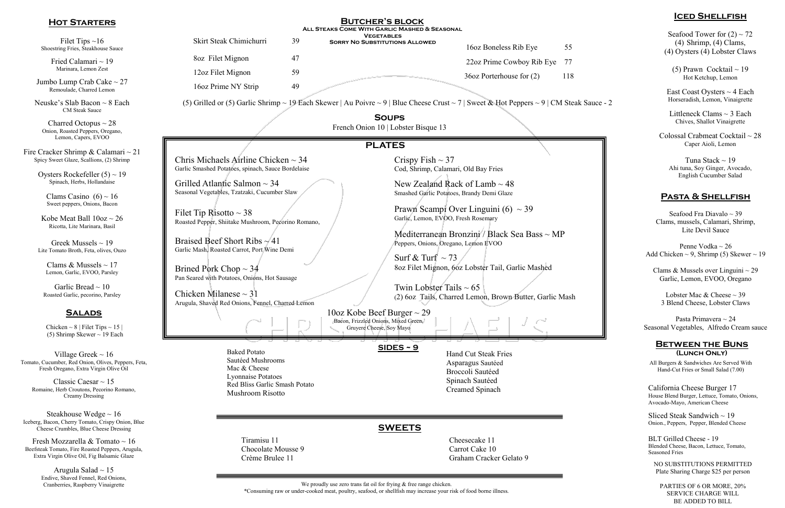Arugula Salad  $\sim$  15 Endive, Shaved Fennel, Red Onions, Cranberries, Raspberry Vinaigrette

We proudly use zero trans fat oil for frying & free range chicken.

Seafood Tower for  $(2) \sim 72$ (4) Shrimp, (4) Clams, (4) Oysters (4) Lobster Claws

(5) Prawn Cocktail  $\sim$  19 Hot Ketchup, Lemon

Littleneck Clams  $\sim$  3 Each Chives, Shallot Vinaigrette

Sliced Steak Sandwich  $\sim$  19 Onion., Peppers, Pepper, Blended Cheese

Penne Vodka ~ 26 Add Chicken  $\sim$  9, Shrimp (5) Skewer  $\sim$  19

Clams & Mussels over Linguini  $\sim$  29 Garlic, Lemon, EVOO, Oregano

Fresh Mozzarella & Tomato ~ 16 Beefsteak Tomato, Fire Roasted Peppers, Arugula, Extra Virgin Olive Oil, Fig Balsamic Glaze

Lobster Mac  $\&$  Cheese  $\sim$  39 3 Blend Cheese, Lobster Claws

## **Iced Shellfish**

East Coast Oysters ~ 4 Each Horseradish, Lemon, Vinaigrette

Colossal Crabmeat Cocktail ~ 28 Caper Aioli, Lemon

Tuna Stack ~ 19 Ahi tuna, Soy Ginger, Avocado, English Cucumber Salad

## **Between the Buns (Lunch Only)**

California Cheese Burger 17 House Blend Burger, Lettuce, Tomato, Onions, Avocado-Mayo, American Cheese

BLT Grilled Cheese - 19 Blended Cheese, Bacon, Lettuce, Tomato, Seasoned Fries

## **Pasta & Shellfish**

Seafood Fra Diavalo ~ 39 Clams, mussels, Calamari, Shrimp, Lite Devil Sauce

Pasta Primavera ~ 24 Seasonal Vegetables, Alfredo Cream sauce

| <b>HOT STARTERS</b>                                                                                                      | <b>BUTCHER'S BLOCK</b><br>ALL STEAKS COME WITH GARLIC MASHED & SEASONAL                                                                                                                                                                                                                               |                |                                                                                                                                                                                                                                                                                                          |                                                       |           |
|--------------------------------------------------------------------------------------------------------------------------|-------------------------------------------------------------------------------------------------------------------------------------------------------------------------------------------------------------------------------------------------------------------------------------------------------|----------------|----------------------------------------------------------------------------------------------------------------------------------------------------------------------------------------------------------------------------------------------------------------------------------------------------------|-------------------------------------------------------|-----------|
| Filet Tips $\sim$ 16<br>Shoestring Fries, Steakhouse Sauce                                                               | Skirt Steak Chimichurri                                                                                                                                                                                                                                                                               | 39             | <b>VEGETABLES</b><br><b>SORRY NO SUBSTITUTIONS ALLOWED</b>                                                                                                                                                                                                                                               | 16oz Boneless Rib Eye                                 | 55        |
| Fried Calamari $\sim$ 19<br>Marinara, Lemon Zest<br>Jumbo Lump Crab Cake $\sim$ 27<br>Remoulade, Charred Lemon           | 8oz Filet Mignon<br>12oz Filet Mignon<br>16oz Prime NY Strip                                                                                                                                                                                                                                          | 47<br>59<br>49 |                                                                                                                                                                                                                                                                                                          | 22oz Prime Cowboy Rib Eye<br>36oz Porterhouse for (2) | 77<br>118 |
| Neuske's Slab Bacon $\sim$ 8 Each<br><b>CM</b> Steak Sauce                                                               | (5) Grilled or (5) Garlic Shrimp ~ 19 Each Skewer   Au Poivre ~ 9   Blue Cheese Crust ~ 7   Sweet & Hot Peppers ~ 9   CM Steak Sauce - 2                                                                                                                                                              |                |                                                                                                                                                                                                                                                                                                          |                                                       |           |
| Charred Octopus $\sim$ 28<br>Onion, Roasted Peppers, Oregano,<br>Lemon, Capers, EVOO                                     |                                                                                                                                                                                                                                                                                                       |                | <b>SOUPS</b><br>French Onion 10   Lobster Bisque 13                                                                                                                                                                                                                                                      |                                                       |           |
| Fire Cracker Shrimp & Calamari $\sim$ 21<br>Spicy Sweet Glaze, Scallions, (2) Shrimp                                     | Chris Michaels Airline Chicken $\sim$ 34<br>Garlic Smashed Potatoes, spinach, Sauce Bordelaise                                                                                                                                                                                                        |                | <b>PLATES</b><br>Crispy Fish $\sim$ 37<br>Cod, Shrimp, Calamari, Old Bay Fries                                                                                                                                                                                                                           |                                                       |           |
| Oysters Rockefeller $(5) \sim 19$<br>Spinach, Herbs, Hollandaise                                                         | Grilled Atlantic Salmon $\sim$ 34                                                                                                                                                                                                                                                                     |                | New Zealand Rack of Lamb $\sim$ 48                                                                                                                                                                                                                                                                       |                                                       |           |
| Clams Casino $(6) \sim 16$<br>Sweet peppers, Onions, Bacon                                                               | Seasonal Vegetables, Tzatzaki, Cucumber Slaw<br>Filet Tip Risotto $\sim$ 38<br>Roasted Pepper, Shiitake Mushroom, Pecorino Romano,<br>Braised Beef Short Ribs $\sim$ 41<br>Garlic Mash, Roasted Carrot, Port Wine Demi<br>Brined Pork Chop $\sim$ 34<br>Pan Seared with Potatoes, Onions, Hot Sausage |                | Smashed Garlic Potatoes, Brandy Demi Glaze<br>Prawn Scampi Over Linguini (6) $\sim$ 39<br>Garlic, Lemon, EVOO, Fresh Rosemary<br>Mediterranean Bronzini / Black Sea Bass $\sim MP$<br>Peppers, Onions, Oregano, Lemon EVOO<br>Surf & Turf $\sim$ 73<br>8oz Filet Mignon, 6oz Lobster Tail, Garlic Mashed |                                                       |           |
| Kobe Meat Ball $10oz \sim 26$<br>Ricotta, Lite Marinara, Basil                                                           |                                                                                                                                                                                                                                                                                                       |                |                                                                                                                                                                                                                                                                                                          |                                                       |           |
| Greek Mussels $\sim$ 19<br>Lite Tomato Broth, Feta, olives, Ouzo                                                         |                                                                                                                                                                                                                                                                                                       |                |                                                                                                                                                                                                                                                                                                          |                                                       |           |
| Clams & Mussels $\sim$ 17<br>Lemon, Garlic, EVOO, Parsley                                                                |                                                                                                                                                                                                                                                                                                       |                |                                                                                                                                                                                                                                                                                                          |                                                       |           |
| Garlic Bread $\sim$ 10<br>Roasted Garlic, pecorino, Parsley                                                              | Chicken Milanese $\sim$ 31<br>Arugula, Shaved Red Onions, Fennel, Charred Lemon                                                                                                                                                                                                                       |                | Twin Lobster Tails $\sim 65$<br>(2) 6oz Tails, Charred Lemon, Brown Butter, Garlic Mash                                                                                                                                                                                                                  |                                                       |           |
| <b>SALADS</b>                                                                                                            |                                                                                                                                                                                                                                                                                                       |                | 10oz Kobe Beef Burger $\sim$ 29<br>Bacon, Frizzled Onions, Mixed Green,                                                                                                                                                                                                                                  |                                                       |           |
| Chicken $\sim 8$   Filet Tips $\sim 15$  <br>(5) Shrimp Skewer $\sim$ 19 Each                                            |                                                                                                                                                                                                                                                                                                       |                | Gruyere Cheese, Soy Mayo                                                                                                                                                                                                                                                                                 |                                                       |           |
| Village Greek $\sim 16$<br>Tomato, Cucumber, Red Onion, Olives, Peppers, Feta,<br>Fresh Oregano, Extra Virgin Olive Oil  | <b>Baked Potato</b><br>Sautéed Mushrooms<br>Mac & Cheese                                                                                                                                                                                                                                              |                | $SIDES \sim 9$<br><b>Hand Cut Steak Fries</b><br>Asparagus Sautéed<br>Broccoli Sautéed                                                                                                                                                                                                                   |                                                       |           |
| Classic Caesar $\sim$ 15<br>Romaine, Herb Croutons, Pecorino Romano,<br><b>Creamy Dressing</b>                           | Lyonnaise Potatoes<br>Red Bliss Garlic Smash Potato<br><b>Mushroom Risotto</b>                                                                                                                                                                                                                        |                | Spinach Sautéed<br>Creamed Spinach                                                                                                                                                                                                                                                                       |                                                       |           |
| Steakhouse Wedge $\sim 16$<br>Iceberg, Bacon, Cherry Tomato, Crispy Onion, Blue<br>Cheese Crumbles, Blue Cheese Dressing |                                                                                                                                                                                                                                                                                                       |                | <b>SWEETS</b>                                                                                                                                                                                                                                                                                            |                                                       |           |
| Fresh Mozzarella & Tomato $\sim 16$                                                                                      | Tiramisu 11                                                                                                                                                                                                                                                                                           |                |                                                                                                                                                                                                                                                                                                          | Cheesecake 11                                         |           |

Crème Brulee 11 Graham Cracker Gelato 9

Chocolate Mousse 9 Carrot Cake 10

All Burgers & Sandwiches Are Served With Hand-Cut Fries or Small Salad (7.00)

\*Consuming raw or under-cooked meat, poultry, seafood, or shellfish may increase your risk of food borne illness.

NO SUBSTITUTIONS PERMITTED Plate Sharing Charge \$25 per person

PARTIES OF 6 OR MORE, 20% SERVICE CHARGE WILL BE ADDED TO BILL